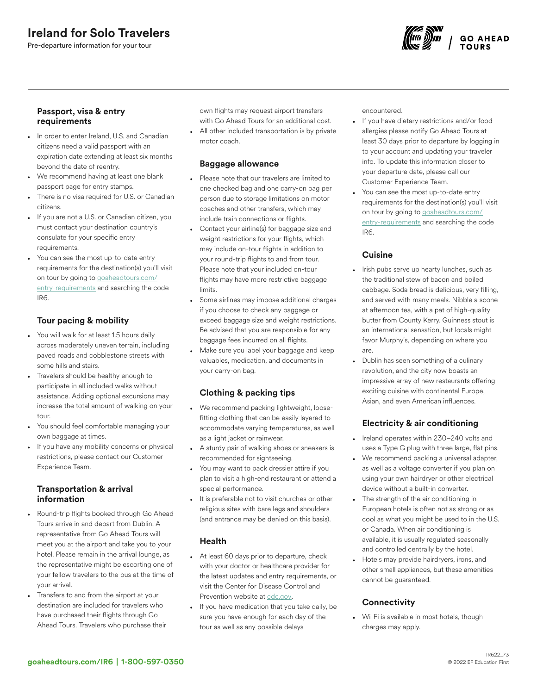# Ireland for Solo Travelers

Pre-departure information for your tour



#### Passport, visa & entry requirements

- In order to enter Ireland, U.S. and Canadian citizens need a valid passport with an expiration date extending at least six months beyond the date of reentry.
- We recommend having at least one blank passport page for entry stamps.
- There is no visa required for U.S. or Canadian citizens.
- If you are not a U.S. or Canadian citizen, you must contact your destination country's consulate for your specific entry requirements.
- You can see the most up-to-date entry requirements for the destination(s) you'll visit on tour by going to [goaheadtours.com/](/entry-requirements?tourCode=IR6) [entry-requirements](/entry-requirements?tourCode=IR6) and searching the code IR6.

### Tour pacing & mobility

- You will walk for at least 1.5 hours daily across moderately uneven terrain, including paved roads and cobblestone streets with some hills and stairs.
- Travelers should be healthy enough to participate in all included walks without assistance. Adding optional excursions may increase the total amount of walking on your tour.
- You should feel comfortable managing your own baggage at times.
- If you have any mobility concerns or physical restrictions, please contact our Customer Experience Team.

#### Transportation & arrival information

- Round-trip flights booked through Go Ahead Tours arrive in and depart from Dublin. A representative from Go Ahead Tours will meet you at the airport and take you to your hotel. Please remain in the arrival lounge, as the representative might be escorting one of your fellow travelers to the bus at the time of your arrival.
- Transfers to and from the airport at your destination are included for travelers who have purchased their flights through Go Ahead Tours. Travelers who purchase their

own flights may request airport transfers with Go Ahead Tours for an additional cost. • All other included transportation is by private motor coach.

## Baggage allowance

- Please note that our travelers are limited to one checked bag and one carry-on bag per person due to storage limitations on motor coaches and other transfers, which may include train connections or flights.
- Contact your airline(s) for baggage size and weight restrictions for your flights, which may include on-tour flights in addition to your round-trip flights to and from tour. Please note that your included on-tour flights may have more restrictive baggage limits.
- Some airlines may impose additional charges if you choose to check any baggage or exceed baggage size and weight restrictions. Be advised that you are responsible for any baggage fees incurred on all flights.
- Make sure you label your baggage and keep valuables, medication, and documents in your carry-on bag.

## Clothing & packing tips

- We recommend packing lightweight, loosefitting clothing that can be easily layered to accommodate varying temperatures, as well as a light jacket or rainwear.
- A sturdy pair of walking shoes or sneakers is recommended for sightseeing.
- You may want to pack dressier attire if you plan to visit a high-end restaurant or attend a special performance.
- It is preferable not to visit churches or other religious sites with bare legs and shoulders (and entrance may be denied on this basis).

### Health

- At least 60 days prior to departure, check with your doctor or healthcare provider for the latest updates and entry requirements, or visit the Center for Disease Control and Prevention website at [cdc.gov](https://www.cdc.gov/).
- If you have medication that you take daily, be sure you have enough for each day of the tour as well as any possible delays

encountered.

- If you have dietary restrictions and/or food allergies please notify Go Ahead Tours at least 30 days prior to departure by logging in to your account and updating your traveler info. To update this information closer to your departure date, please call our Customer Experience Team.
- You can see the most up-to-date entry requirements for the destination(s) you'll visit on tour by going to [goaheadtours.com/](/entry-requirements?tourCode=IR6) [entry-requirements](/entry-requirements?tourCode=IR6) and searching the code IR6.

## **Cuisine**

- Irish pubs serve up hearty lunches, such as the traditional stew of bacon and boiled cabbage. Soda bread is delicious, very filling, and served with many meals. Nibble a scone at afternoon tea, with a pat of high-quality butter from County Kerry. Guinness stout is an international sensation, but locals might favor Murphy's, depending on where you are.
- Dublin has seen something of a culinary revolution, and the city now boasts an impressive array of new restaurants offering exciting cuisine with continental Europe, Asian, and even American influences.

## Electricity & air conditioning

- Ireland operates within 230–240 volts and uses a Type G plug with three large, flat pins.
- We recommend packing a universal adapter, as well as a voltage converter if you plan on using your own hairdryer or other electrical device without a built-in converter.
- The strength of the air conditioning in European hotels is often not as strong or as cool as what you might be used to in the U.S. or Canada. When air conditioning is available, it is usually regulated seasonally and controlled centrally by the hotel.
- Hotels may provide hairdryers, irons, and other small appliances, but these amenities cannot be guaranteed.

## **Connectivity**

• Wi-Fi is available in most hotels, though charges may apply.